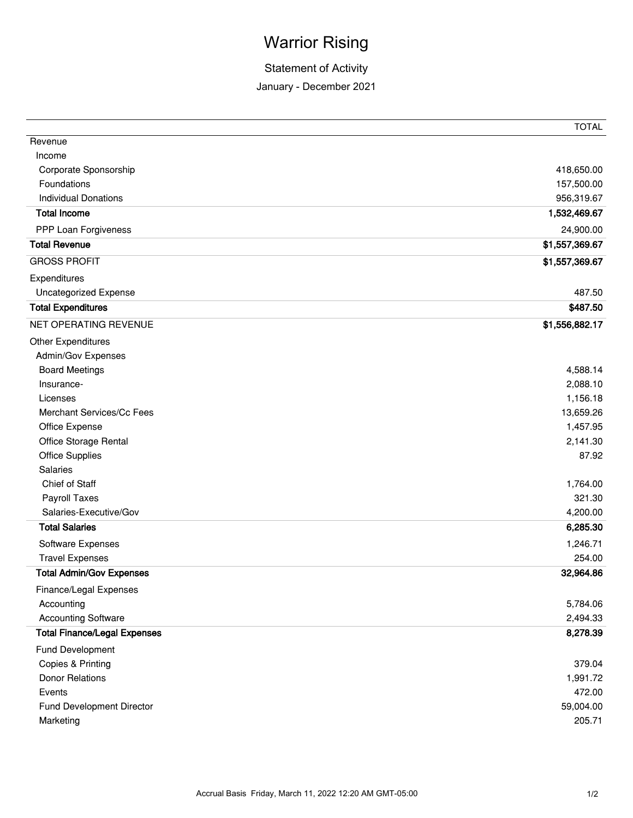## Warrior Rising

## Statement of Activity

January - December 2021

|                                     | <b>TOTAL</b>   |
|-------------------------------------|----------------|
| Revenue                             |                |
| Income                              |                |
| Corporate Sponsorship               | 418,650.00     |
| Foundations                         | 157,500.00     |
| <b>Individual Donations</b>         | 956,319.67     |
| <b>Total Income</b>                 | 1,532,469.67   |
| PPP Loan Forgiveness                | 24,900.00      |
| <b>Total Revenue</b>                | \$1,557,369.67 |
| <b>GROSS PROFIT</b>                 | \$1,557,369.67 |
| Expenditures                        |                |
| <b>Uncategorized Expense</b>        | 487.50         |
| <b>Total Expenditures</b>           | \$487.50       |
| NET OPERATING REVENUE               | \$1,556,882.17 |
| <b>Other Expenditures</b>           |                |
| Admin/Gov Expenses                  |                |
| <b>Board Meetings</b>               | 4,588.14       |
| Insurance-                          | 2,088.10       |
| Licenses                            | 1,156.18       |
| Merchant Services/Cc Fees           | 13,659.26      |
| Office Expense                      | 1,457.95       |
| Office Storage Rental               | 2,141.30       |
| Office Supplies                     | 87.92          |
| <b>Salaries</b>                     |                |
| Chief of Staff                      | 1,764.00       |
| Payroll Taxes                       | 321.30         |
| Salaries-Executive/Gov              | 4,200.00       |
| <b>Total Salaries</b>               | 6,285.30       |
| Software Expenses                   | 1,246.71       |
| <b>Travel Expenses</b>              | 254.00         |
| <b>Total Admin/Gov Expenses</b>     | 32,964.86      |
| Finance/Legal Expenses              |                |
| Accounting                          | 5,784.06       |
| <b>Accounting Software</b>          | 2,494.33       |
| <b>Total Finance/Legal Expenses</b> | 8,278.39       |
| Fund Development                    |                |
| Copies & Printing                   | 379.04         |
| <b>Donor Relations</b>              | 1,991.72       |
| Events                              | 472.00         |
| <b>Fund Development Director</b>    | 59,004.00      |
| Marketing                           | 205.71         |